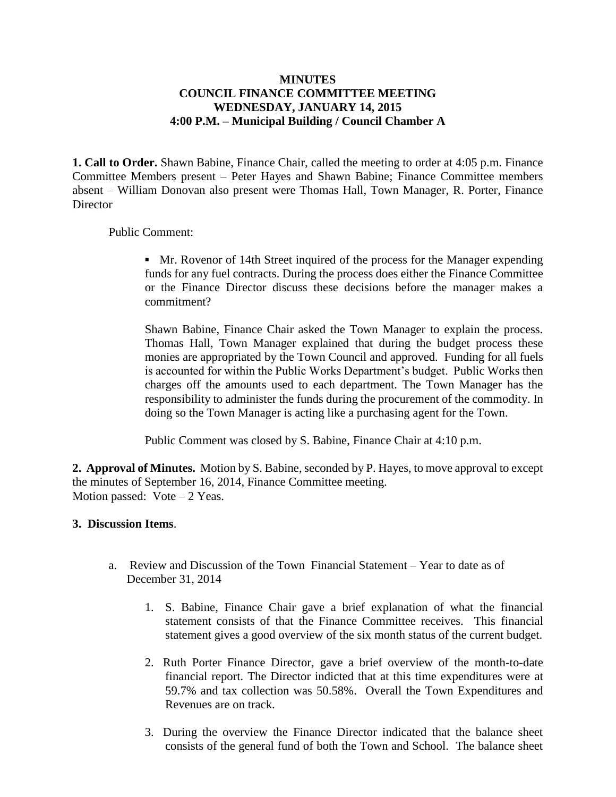## **MINUTES COUNCIL FINANCE COMMITTEE MEETING WEDNESDAY, JANUARY 14, 2015 4:00 P.M. – Municipal Building / Council Chamber A**

**1. Call to Order.** Shawn Babine, Finance Chair, called the meeting to order at 4:05 p.m. Finance Committee Members present – Peter Hayes and Shawn Babine; Finance Committee members absent – William Donovan also present were Thomas Hall, Town Manager, R. Porter, Finance **Director** 

## Public Comment:

**▪** Mr. Rovenor of 14th Street inquired of the process for the Manager expending funds for any fuel contracts. During the process does either the Finance Committee or the Finance Director discuss these decisions before the manager makes a commitment?

Shawn Babine, Finance Chair asked the Town Manager to explain the process. Thomas Hall, Town Manager explained that during the budget process these monies are appropriated by the Town Council and approved. Funding for all fuels is accounted for within the Public Works Department's budget. Public Works then charges off the amounts used to each department. The Town Manager has the responsibility to administer the funds during the procurement of the commodity. In doing so the Town Manager is acting like a purchasing agent for the Town.

Public Comment was closed by S. Babine, Finance Chair at 4:10 p.m.

**2. Approval of Minutes.** Motion by S. Babine, seconded by P. Hayes, to move approval to except the minutes of September 16, 2014, Finance Committee meeting. Motion passed: Vote – 2 Yeas.

## **3. Discussion Items**.

- a. Review and Discussion of the Town Financial Statement Year to date as of December 31, 2014
	- 1. S. Babine, Finance Chair gave a brief explanation of what the financial statement consists of that the Finance Committee receives. This financial statement gives a good overview of the six month status of the current budget.
	- 2. Ruth Porter Finance Director, gave a brief overview of the month-to-date financial report. The Director indicted that at this time expenditures were at 59.7% and tax collection was 50.58%. Overall the Town Expenditures and Revenues are on track.
	- 3. During the overview the Finance Director indicated that the balance sheet consists of the general fund of both the Town and School. The balance sheet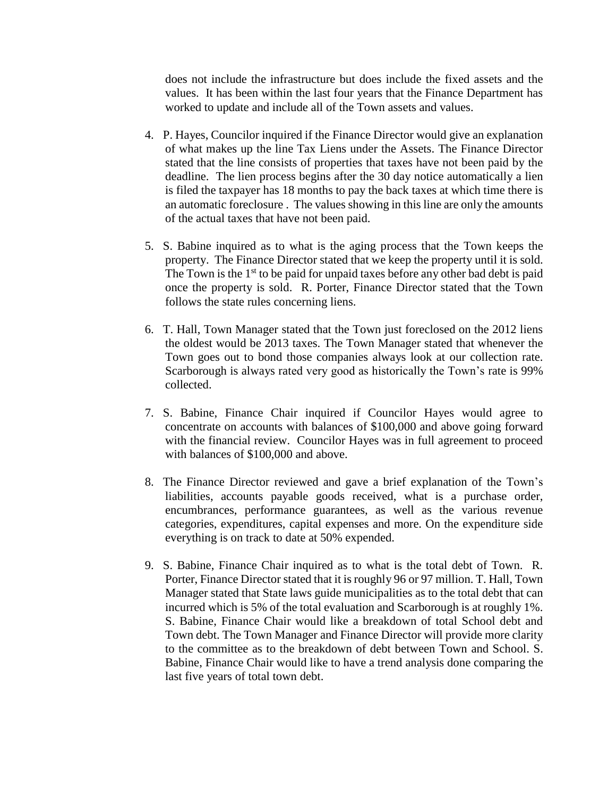does not include the infrastructure but does include the fixed assets and the values. It has been within the last four years that the Finance Department has worked to update and include all of the Town assets and values.

- 4. P. Hayes, Councilor inquired if the Finance Director would give an explanation of what makes up the line Tax Liens under the Assets. The Finance Director stated that the line consists of properties that taxes have not been paid by the deadline. The lien process begins after the 30 day notice automatically a lien is filed the taxpayer has 18 months to pay the back taxes at which time there is an automatic foreclosure . The values showing in this line are only the amounts of the actual taxes that have not been paid.
- 5. S. Babine inquired as to what is the aging process that the Town keeps the property. The Finance Director stated that we keep the property until it is sold. The Town is the  $1<sup>st</sup>$  to be paid for unpaid taxes before any other bad debt is paid once the property is sold. R. Porter, Finance Director stated that the Town follows the state rules concerning liens.
- 6. T. Hall, Town Manager stated that the Town just foreclosed on the 2012 liens the oldest would be 2013 taxes. The Town Manager stated that whenever the Town goes out to bond those companies always look at our collection rate. Scarborough is always rated very good as historically the Town's rate is 99% collected.
- 7. S. Babine, Finance Chair inquired if Councilor Hayes would agree to concentrate on accounts with balances of \$100,000 and above going forward with the financial review. Councilor Hayes was in full agreement to proceed with balances of \$100,000 and above.
- 8. The Finance Director reviewed and gave a brief explanation of the Town's liabilities, accounts payable goods received, what is a purchase order, encumbrances, performance guarantees, as well as the various revenue categories, expenditures, capital expenses and more. On the expenditure side everything is on track to date at 50% expended.
- 9. S. Babine, Finance Chair inquired as to what is the total debt of Town. R. Porter, Finance Director stated that it is roughly 96 or 97 million. T. Hall, Town Manager stated that State laws guide municipalities as to the total debt that can incurred which is 5% of the total evaluation and Scarborough is at roughly 1%. S. Babine, Finance Chair would like a breakdown of total School debt and Town debt. The Town Manager and Finance Director will provide more clarity to the committee as to the breakdown of debt between Town and School. S. Babine, Finance Chair would like to have a trend analysis done comparing the last five years of total town debt.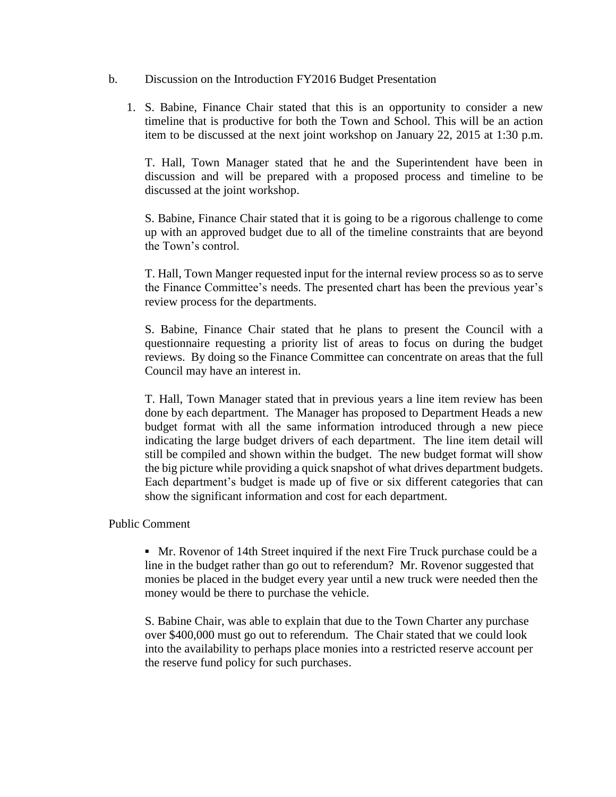- b. Discussion on the Introduction FY2016 Budget Presentation
	- 1. S. Babine, Finance Chair stated that this is an opportunity to consider a new timeline that is productive for both the Town and School. This will be an action item to be discussed at the next joint workshop on January 22, 2015 at 1:30 p.m.

T. Hall, Town Manager stated that he and the Superintendent have been in discussion and will be prepared with a proposed process and timeline to be discussed at the joint workshop.

S. Babine, Finance Chair stated that it is going to be a rigorous challenge to come up with an approved budget due to all of the timeline constraints that are beyond the Town's control.

T. Hall, Town Manger requested input for the internal review process so as to serve the Finance Committee's needs. The presented chart has been the previous year's review process for the departments.

S. Babine, Finance Chair stated that he plans to present the Council with a questionnaire requesting a priority list of areas to focus on during the budget reviews. By doing so the Finance Committee can concentrate on areas that the full Council may have an interest in.

T. Hall, Town Manager stated that in previous years a line item review has been done by each department. The Manager has proposed to Department Heads a new budget format with all the same information introduced through a new piece indicating the large budget drivers of each department. The line item detail will still be compiled and shown within the budget. The new budget format will show the big picture while providing a quick snapshot of what drives department budgets. Each department's budget is made up of five or six different categories that can show the significant information and cost for each department.

Public Comment

**▪** Mr. Rovenor of 14th Street inquired if the next Fire Truck purchase could be a line in the budget rather than go out to referendum? Mr. Rovenor suggested that monies be placed in the budget every year until a new truck were needed then the money would be there to purchase the vehicle.

S. Babine Chair, was able to explain that due to the Town Charter any purchase over \$400,000 must go out to referendum. The Chair stated that we could look into the availability to perhaps place monies into a restricted reserve account per the reserve fund policy for such purchases.